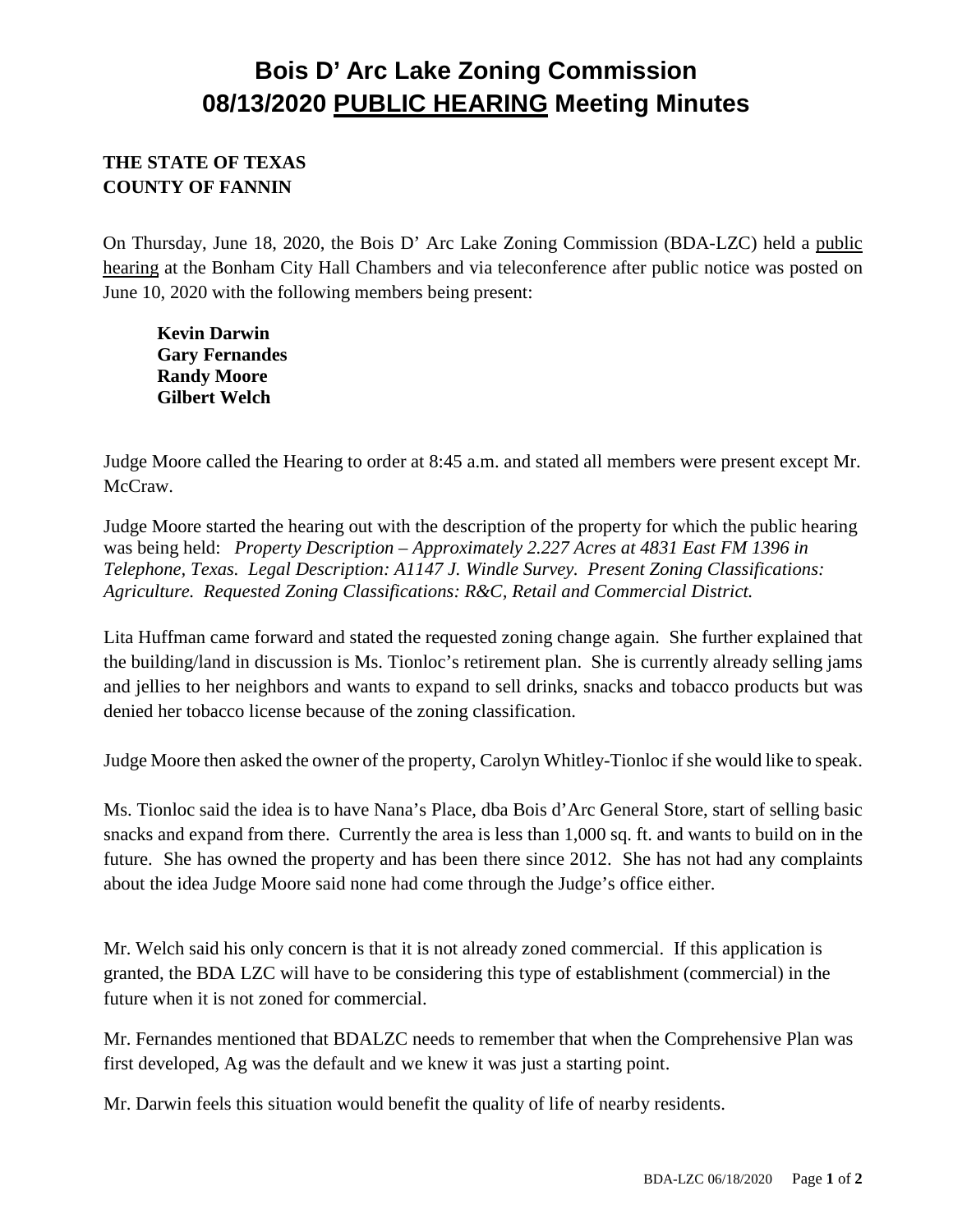## **Bois D' Arc Lake Zoning Commission 08/13/2020 PUBLIC HEARING Meeting Minutes**

## **THE STATE OF TEXAS COUNTY OF FANNIN**

On Thursday, June 18, 2020, the Bois D' Arc Lake Zoning Commission (BDA-LZC) held a public hearing at the Bonham City Hall Chambers and via teleconference after public notice was posted on June 10, 2020 with the following members being present:

**Kevin Darwin Gary Fernandes Randy Moore Gilbert Welch**

Judge Moore called the Hearing to order at 8:45 a.m. and stated all members were present except Mr. McCraw.

Judge Moore started the hearing out with the description of the property for which the public hearing was being held: *Property Description – Approximately 2.227 Acres at 4831 East FM 1396 in Telephone, Texas. Legal Description: A1147 J. Windle Survey. Present Zoning Classifications: Agriculture. Requested Zoning Classifications: R&C, Retail and Commercial District.* 

Lita Huffman came forward and stated the requested zoning change again. She further explained that the building/land in discussion is Ms. Tionloc's retirement plan. She is currently already selling jams and jellies to her neighbors and wants to expand to sell drinks, snacks and tobacco products but was denied her tobacco license because of the zoning classification.

Judge Moore then asked the owner of the property, Carolyn Whitley-Tionloc if she would like to speak.

Ms. Tionloc said the idea is to have Nana's Place, dba Bois d'Arc General Store, start of selling basic snacks and expand from there. Currently the area is less than 1,000 sq. ft. and wants to build on in the future. She has owned the property and has been there since 2012. She has not had any complaints about the idea Judge Moore said none had come through the Judge's office either.

Mr. Welch said his only concern is that it is not already zoned commercial. If this application is granted, the BDA LZC will have to be considering this type of establishment (commercial) in the future when it is not zoned for commercial.

Mr. Fernandes mentioned that BDALZC needs to remember that when the Comprehensive Plan was first developed, Ag was the default and we knew it was just a starting point.

Mr. Darwin feels this situation would benefit the quality of life of nearby residents.